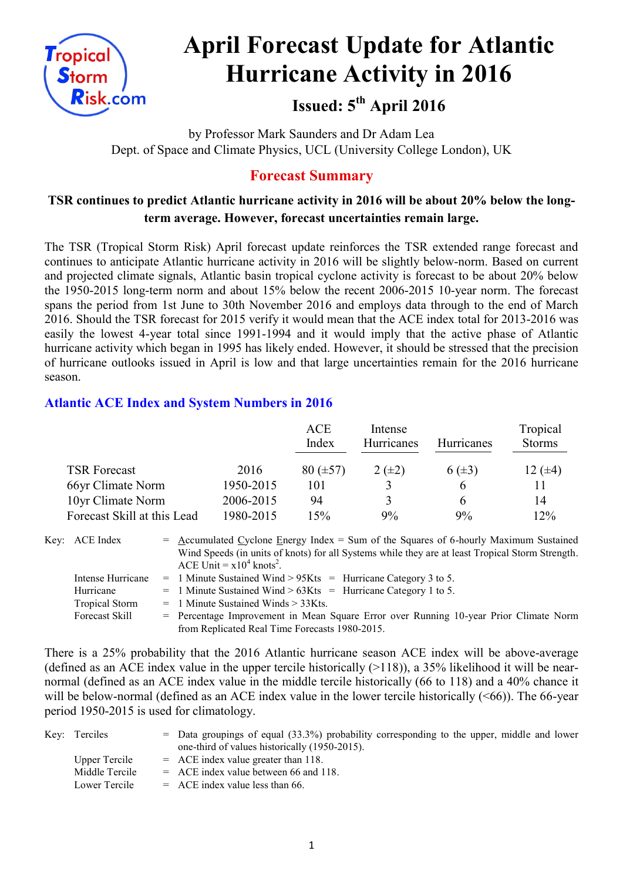

# **April Forecast Update for Atlantic Hurricane Activity in 2016**

# **Issued: 5 th April 2016**

by Professor Mark Saunders and Dr Adam Lea Dept. of Space and Climate Physics, UCL (University College London), UK

## **Forecast Summary**

### **TSR continues to predict Atlantic hurricane activity in 2016 will be about 20% below the longterm average. However, forecast uncertainties remain large.**

The TSR (Tropical Storm Risk) April forecast update reinforces the TSR extended range forecast and continues to anticipate Atlantic hurricane activity in 2016 will be slightly below-norm. Based on current and projected climate signals, Atlantic basin tropical cyclone activity is forecast to be about 20% below the 1950-2015 long-term norm and about 15% below the recent 2006-2015 10-year norm. The forecast spans the period from 1st June to 30th November 2016 and employs data through to the end of March 2016. Should the TSR forecast for 2015 verify it would mean that the ACE index total for 2013-2016 was easily the lowest 4-year total since 1991-1994 and it would imply that the active phase of Atlantic hurricane activity which began in 1995 has likely ended. However, it should be stressed that the precision of hurricane outlooks issued in April is low and that large uncertainties remain for the 2016 hurricane season.

#### **Atlantic ACE Index and System Numbers in 2016**

|                             |           | ACE<br>Index  | Intense<br><b>Hurricanes</b> | <b>Hurricanes</b> | Tropical<br><b>Storms</b> |
|-----------------------------|-----------|---------------|------------------------------|-------------------|---------------------------|
| <b>TSR Forecast</b>         | 2016      | $80 (\pm 57)$ | $2(\pm 2)$                   | $6(\pm 3)$        | 12 $(\pm 4)$              |
| 66yr Climate Norm           | 1950-2015 | 101           |                              | h                 |                           |
| 10yr Climate Norm           | 2006-2015 | 94            | 3                            | h                 | 14                        |
| Forecast Skill at this Lead | 1980-2015 | 15%           | 9%                           | 9%                | 12%                       |

Key: ACE Index  $=$  Accumulated Cyclone Energy Index = Sum of the Squares of 6-hourly Maximum Sustained Wind Speeds (in units of knots) for all Systems while they are at least Tropical Storm Strength. ACE Unit =  $x10^4$  knots<sup>2</sup>. Intense Hurricane = 1 Minute Sustained Wind >  $95Kts$  = Hurricane Category 3 to 5. Hurricane  $= 1$  Minute Sustained Wind  $> 63K$ ts = Hurricane Category 1 to 5.

- Tropical Storm  $= 1$  Minute Sustained Winds  $> 33K$ ts.
- Forecast Skill = Percentage Improvement in Mean Square Error over Running 10-year Prior Climate Norm from Replicated Real Time Forecasts 1980-2015.

There is a 25% probability that the 2016 Atlantic hurricane season ACE index will be above-average (defined as an ACE index value in the upper tercile historically  $(>118)$ ), a 35% likelihood it will be nearnormal (defined as an ACE index value in the middle tercile historically (66 to 118) and a 40% chance it will be below-normal (defined as an ACE index value in the lower tercile historically  $(<66$ )). The 66-year period 1950-2015 is used for climatology.

| Key: Terciles  | $=$ Data groupings of equal (33.3%) probability corresponding to the upper, middle and lower |
|----------------|----------------------------------------------------------------------------------------------|
|                | one-third of values historically (1950-2015).                                                |
| Upper Tercile  | $=$ ACE index value greater than 118.                                                        |
| Middle Tercile | $=$ ACE index value between 66 and 118.                                                      |
| Lower Tercile  | $=$ ACE index value less than 66.                                                            |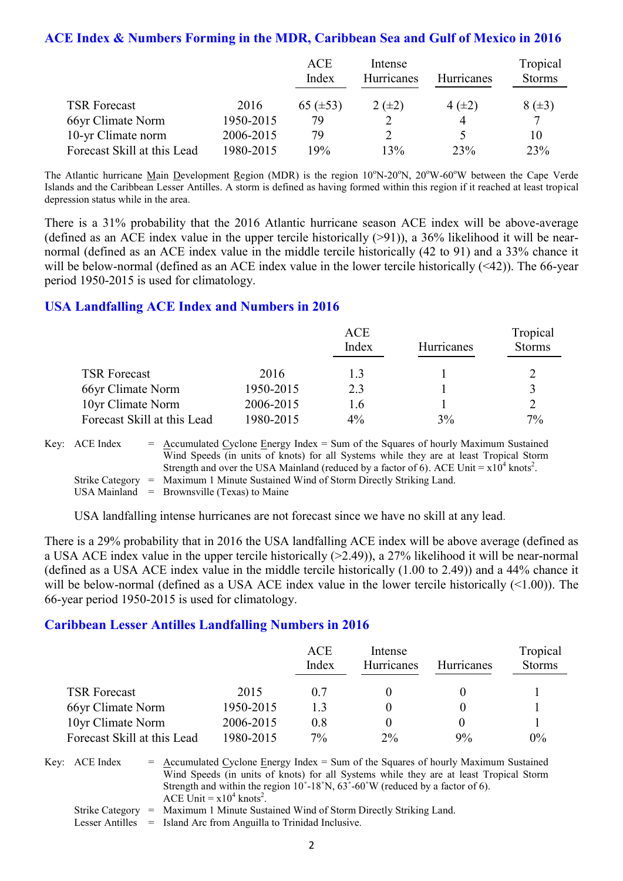#### **ACE Index & Numbers Forming in the MDR, Caribbean Sea and Gulf of Mexico in 2016**

|                             |           | ACE           | Intense    |                   | Tropical      |  |
|-----------------------------|-----------|---------------|------------|-------------------|---------------|--|
|                             |           | Index         | Hurricanes | <b>Hurricanes</b> | <b>Storms</b> |  |
| <b>TSR Forecast</b>         | 2016      | 65 $(\pm 53)$ | $2(\pm 2)$ | $4(\pm 2)$        | $8(\pm 3)$    |  |
| 66yr Climate Norm           | 1950-2015 | 79            |            |                   | 7             |  |
| 10-yr Climate norm          | 2006-2015 | 79            |            |                   | 10            |  |
| Forecast Skill at this Lead | 1980-2015 | 9%            | 13%        | 23%               | 23%           |  |

The Atlantic hurricane Main Development Region (MDR) is the region  $10^{\circ}$ N-20<sup>o</sup>N,  $20^{\circ}$ W-60<sup>o</sup>W between the Cape Verde Islands and the Caribbean Lesser Antilles. A storm is defined as having formed within this region if it reached at least tropical depression status while in the area.

There is a 31% probability that the 2016 Atlantic hurricane season ACE index will be above-average (defined as an ACE index value in the upper tercile historically  $(>91)$ ), a 36% likelihood it will be nearnormal (defined as an ACE index value in the middle tercile historically (42 to 91) and a 33% chance it will be below-normal (defined as an ACE index value in the lower tercile historically (<42)). The 66-year period 1950-2015 is used for climatology.

#### **USA Landfalling ACE Index and Numbers in 2016**

|                             |           | ACE   |            | Tropical      |
|-----------------------------|-----------|-------|------------|---------------|
|                             |           | Index | Hurricanes | <b>Storms</b> |
| <b>TSR Forecast</b>         | 2016      | 13    |            |               |
| 66yr Climate Norm           | 1950-2015 | 2.3   |            |               |
| 10yr Climate Norm           | 2006-2015 | 1.6   |            |               |
| Forecast Skill at this Lead | 1980-2015 | $4\%$ | 3%         | 7%            |

Key:  $\text{ACE Index} = \text{Accumulated Cvelone Energy Index} = \text{Sum of the Squares of hourly Maximum Sustainable.}$ Wind Speeds (in units of knots) for all Systems while they are at least Tropical Storm Strength and over the USA Mainland (reduced by a factor of 6). ACE Unit =  $x10^4$  knots<sup>2</sup>. Strike Category = Maximum 1 Minute Sustained Wind of Storm Directly Striking Land. USA Mainland  $=$  Brownsville (Texas) to Maine

USA landfalling intense hurricanes are not forecast since we have no skill at any lead.

There is a 29% probability that in 2016 the USA landfalling ACE index will be above average (defined as a USA ACE index value in the upper tercile historically (>2.49)), a 27% likelihood it will be near-normal (defined as a USA ACE index value in the middle tercile historically (1.00 to 2.49)) and a 44% chance it will be below-normal (defined as a USA ACE index value in the lower tercile historically  $($ (  $>$ 1.00)). The 66-year period 1950-2015 is used for climatology.

#### **Caribbean Lesser Antilles Landfalling Numbers in 2016**

|                             |           | <b>ACE</b><br>Index | Intense<br>Hurricanes | <b>Hurricanes</b> | Tropical<br><b>Storms</b> |
|-----------------------------|-----------|---------------------|-----------------------|-------------------|---------------------------|
| <b>TSR Forecast</b>         | 2015      | 0.7                 |                       |                   |                           |
| 66yr Climate Norm           | 1950-2015 | 13                  |                       |                   |                           |
| 10yr Climate Norm           | 2006-2015 | 0.8                 |                       |                   |                           |
| Forecast Skill at this Lead | 1980-2015 | $7\%$               | $2\%$                 | 9%                | $0\%$                     |

Key:  $ACE Index = Accumulated Cyclone Energy Index = Sum of the Squares of hourly Maximum Sustainable$ Wind Speeds (in units of knots) for all Systems while they are at least Tropical Storm Strength and within the region  $10^{\circ}$ -18°N,  $63^{\circ}$ -60°W (reduced by a factor of 6). ACE Unit =  $x10^4$  knots<sup>2</sup>.

Strike Category = Maximum 1 Minute Sustained Wind of Storm Directly Striking Land.

Lesser Antilles = Island Arc from Anguilla to Trinidad Inclusive.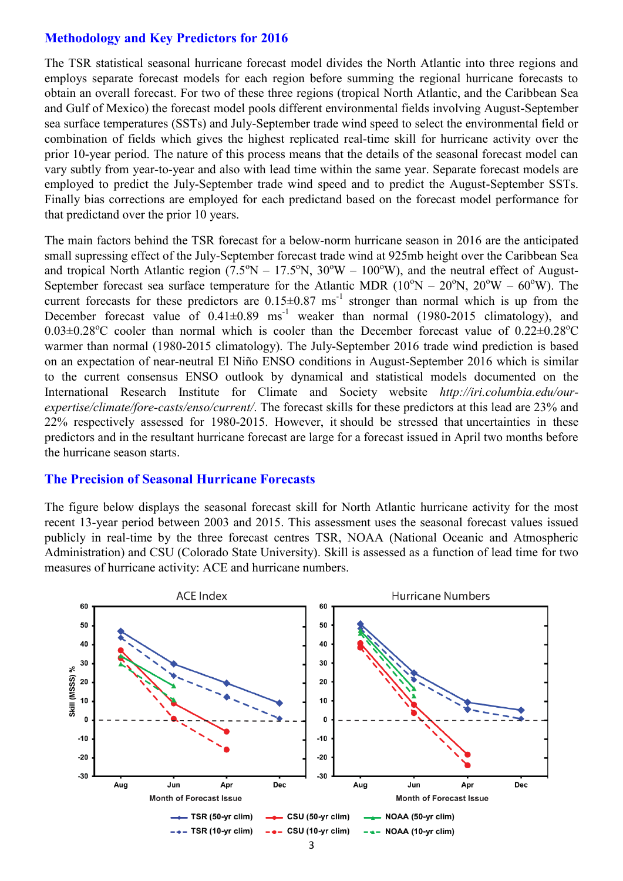#### **Methodology and Key Predictors for 2016**

The TSR statistical seasonal hurricane forecast model divides the North Atlantic into three regions and employs separate forecast models for each region before summing the regional hurricane forecasts to obtain an overall forecast. For two of these three regions (tropical North Atlantic, and the Caribbean Sea and Gulf of Mexico) the forecast model pools different environmental fields involving August-September sea surface temperatures (SSTs) and July-September trade wind speed to select the environmental field or combination of fields which gives the highest replicated real-time skill for hurricane activity over the prior 10-year period. The nature of this process means that the details of the seasonal forecast model can vary subtly from year-to-year and also with lead time within the same year. Separate forecast models are employed to predict the July-September trade wind speed and to predict the August-September SSTs. Finally bias corrections are employed for each predictand based on the forecast model performance for that predictand over the prior 10 years.

The main factors behind the TSR forecast for a below-norm hurricane season in 2016 are the anticipated small supressing effect of the July-September forecast trade wind at 925mb height over the Caribbean Sea and tropical North Atlantic region  $(7.5^{\circ}N - 17.5^{\circ}N, 30^{\circ}W - 100^{\circ}W)$ , and the neutral effect of August-September forecast sea surface temperature for the Atlantic MDR ( $10^{\circ}N - 20^{\circ}N$ ,  $20^{\circ}W - 60^{\circ}W$ ). The current forecasts for these predictors are  $0.15 \pm 0.87$  ms<sup>-1</sup> stronger than normal which is up from the December forecast value of  $0.41\pm0.89$  ms<sup>-1</sup> weaker than normal (1980-2015 climatology), and  $0.03\pm0.28^{\circ}$ C cooler than normal which is cooler than the December forecast value of  $0.22\pm0.28^{\circ}$ C warmer than normal (1980-2015 climatology). The July-September 2016 trade wind prediction is based on an expectation of near-neutral El Niño ENSO conditions in August-September 2016 which is similar to the current consensus ENSO outlook by dynamical and statistical models documented on the International Research Institute for Climate and Society website *http://iri.columbia.edu/ourexpertise/climate/fore-casts/enso/current/*. The forecast skills for these predictors at this lead are 23% and 22% respectively assessed for 1980-2015. However, it should be stressed that uncertainties in these predictors and in the resultant hurricane forecast are large for a forecast issued in April two months before the hurricane season starts.

#### **The Precision of Seasonal Hurricane Forecasts**

The figure below displays the seasonal forecast skill for North Atlantic hurricane activity for the most recent 13-year period between 2003 and 2015. This assessment uses the seasonal forecast values issued publicly in real-time by the three forecast centres TSR, NOAA (National Oceanic and Atmospheric Administration) and CSU (Colorado State University). Skill is assessed as a function of lead time for two measures of hurricane activity: ACE and hurricane numbers.

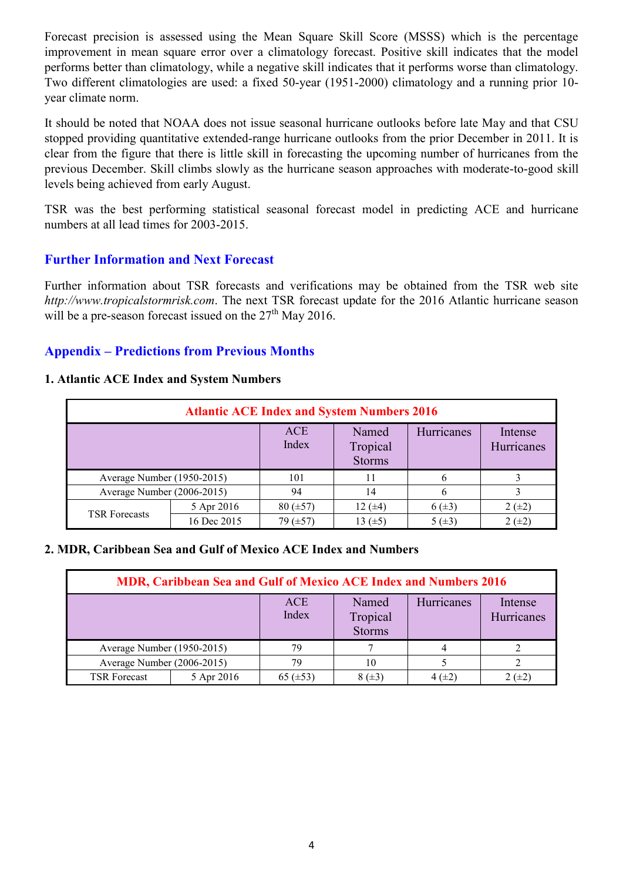Forecast precision is assessed using the Mean Square Skill Score (MSSS) which is the percentage improvement in mean square error over a climatology forecast. Positive skill indicates that the model performs better than climatology, while a negative skill indicates that it performs worse than climatology. Two different climatologies are used: a fixed 50-year (1951-2000) climatology and a running prior 10 year climate norm.

It should be noted that NOAA does not issue seasonal hurricane outlooks before late May and that CSU stopped providing quantitative extended-range hurricane outlooks from the prior December in 2011. It is clear from the figure that there is little skill in forecasting the upcoming number of hurricanes from the previous December. Skill climbs slowly as the hurricane season approaches with moderate-to-good skill levels being achieved from early August.

TSR was the best performing statistical seasonal forecast model in predicting ACE and hurricane numbers at all lead times for 2003-2015.

#### **Further Information and Next Forecast**

Further information about TSR forecasts and verifications may be obtained from the TSR web site *http://www.tropicalstormrisk.com*. The next TSR forecast update for the 2016 Atlantic hurricane season will be a pre-season forecast issued on the  $27<sup>th</sup>$  May 2016.

#### **Appendix – Predictions from Previous Months**

#### **1. Atlantic ACE Index and System Numbers**

| <b>Atlantic ACE Index and System Numbers 2016</b> |             |                     |                                    |             |                       |  |  |
|---------------------------------------------------|-------------|---------------------|------------------------------------|-------------|-----------------------|--|--|
|                                                   |             | <b>ACE</b><br>Index | Named<br>Tropical<br><b>Storms</b> | Hurricanes  | Intense<br>Hurricanes |  |  |
| Average Number (1950-2015)                        |             | 101                 | 11                                 |             |                       |  |  |
| Average Number (2006-2015)                        |             | 94                  | 14                                 | 6           |                       |  |  |
| <b>TSR Forecasts</b>                              | 5 Apr 2016  | $80 (\pm 57)$       | 12 $(±4)$                          | $6(\pm 3)$  | $2 (+2)$              |  |  |
|                                                   | 16 Dec 2015 | 79 $(\pm 57)$       | 13 (±5)                            | 5 $(\pm 3)$ | $2 (+2)$              |  |  |

#### **2. MDR, Caribbean Sea and Gulf of Mexico ACE Index and Numbers**

| MDR, Caribbean Sea and Gulf of Mexico ACE Index and Numbers 2016 |            |                     |                                    |             |                       |  |  |
|------------------------------------------------------------------|------------|---------------------|------------------------------------|-------------|-----------------------|--|--|
|                                                                  |            | <b>ACE</b><br>Index | Named<br>Tropical<br><b>Storms</b> | Hurricanes  | Intense<br>Hurricanes |  |  |
| Average Number (1950-2015)                                       |            | 79                  |                                    |             |                       |  |  |
| Average Number (2006-2015)                                       |            | 79                  | 10                                 |             |                       |  |  |
| <b>TSR Forecast</b>                                              | 5 Apr 2016 | 65 $(\pm 53)$       | $8 (+3)$                           | 4 $(\pm 2)$ | $2 (+2)$              |  |  |